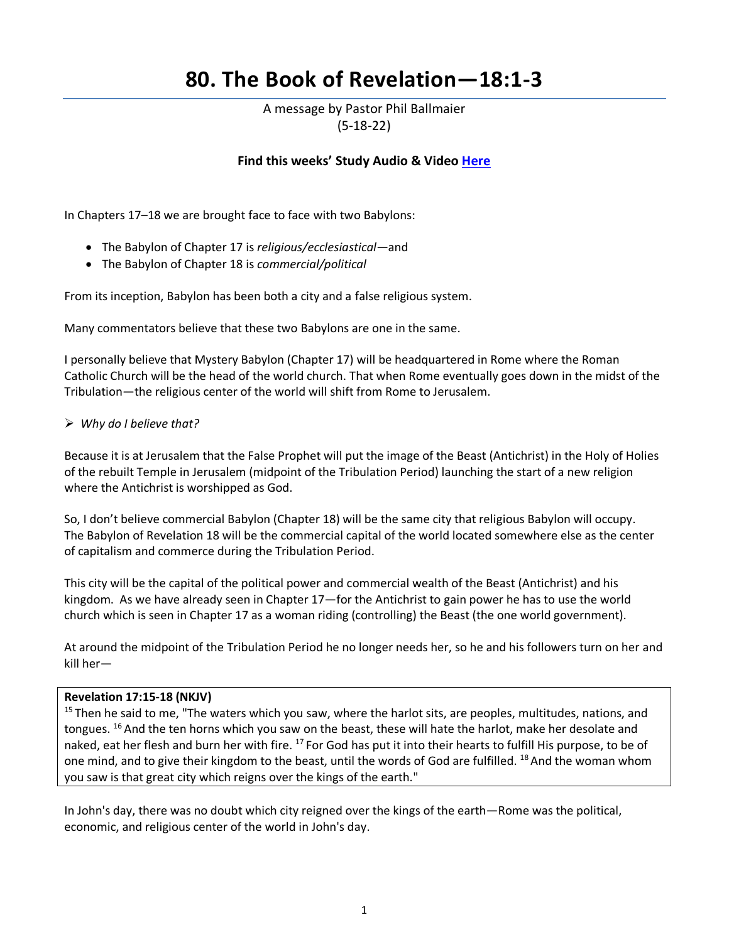# **80. The Book of Revelation—18:1-3**

A message by Pastor Phil Ballmaier (5-18-22)

## **Find this weeks' Study Audio & Video [Here](https://www.ccelkgrove.org/wednesdays)**

In Chapters 17–18 we are brought face to face with two Babylons:

- The Babylon of Chapter 17 is *religious/ecclesiastical—*and
- The Babylon of Chapter 18 is *commercial/political*

From its inception, Babylon has been both a city and a false religious system.

Many commentators believe that these two Babylons are one in the same.

I personally believe that Mystery Babylon (Chapter 17) will be headquartered in Rome where the Roman Catholic Church will be the head of the world church. That when Rome eventually goes down in the midst of the Tribulation—the religious center of the world will shift from Rome to Jerusalem.

## *Why do I believe that?*

Because it is at Jerusalem that the False Prophet will put the image of the Beast (Antichrist) in the Holy of Holies of the rebuilt Temple in Jerusalem (midpoint of the Tribulation Period) launching the start of a new religion where the Antichrist is worshipped as God.

So, I don't believe commercial Babylon (Chapter 18) will be the same city that religious Babylon will occupy. The Babylon of Revelation 18 will be the commercial capital of the world located somewhere else as the center of capitalism and commerce during the Tribulation Period.

This city will be the capital of the political power and commercial wealth of the Beast (Antichrist) and his kingdom. As we have already seen in Chapter 17—for the Antichrist to gain power he has to use the world church which is seen in Chapter 17 as a woman riding (controlling) the Beast (the one world government).

At around the midpoint of the Tribulation Period he no longer needs her, so he and his followers turn on her and kill her—

## **Revelation 17:15-18 (NKJV)**

<sup>15</sup> Then he said to me, "The waters which you saw, where the harlot sits, are peoples, multitudes, nations, and tongues. <sup>16</sup> And the ten horns which you saw on the beast, these will hate the harlot, make her desolate and naked, eat her flesh and burn her with fire. <sup>17</sup> For God has put it into their hearts to fulfill His purpose, to be of one mind, and to give their kingdom to the beast, until the words of God are fulfilled. <sup>18</sup> And the woman whom you saw is that great city which reigns over the kings of the earth."

In John's day, there was no doubt which city reigned over the kings of the earth—Rome was the political, economic, and religious center of the world in John's day.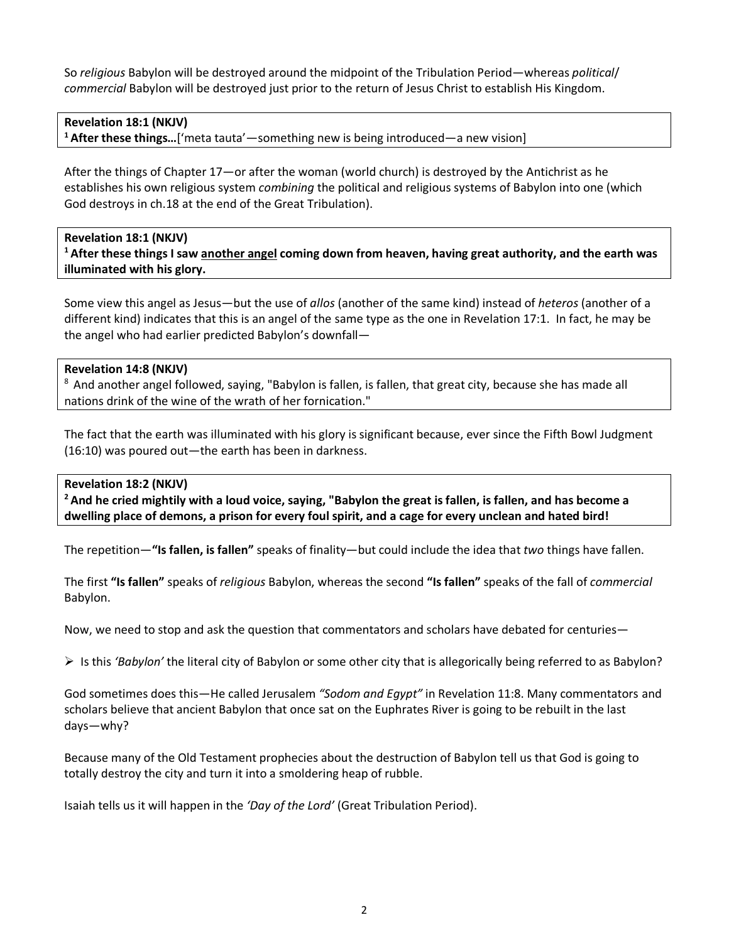So *religious* Babylon will be destroyed around the midpoint of the Tribulation Period—whereas *political*/ *commercial* Babylon will be destroyed just prior to the return of Jesus Christ to establish His Kingdom.

## **Revelation 18:1 (NKJV)**

**1 After these things…**['meta tauta'—something new is being introduced—a new vision]

After the things of Chapter 17—or after the woman (world church) is destroyed by the Antichrist as he establishes his own religious system *combining* the political and religious systems of Babylon into one (which God destroys in ch.18 at the end of the Great Tribulation).

**Revelation 18:1 (NKJV) 1 After these things I saw another angel coming down from heaven, having great authority, and the earth was illuminated with his glory.** 

Some view this angel as Jesus—but the use of *allos* (another of the same kind) instead of *heteros* (another of a different kind) indicates that this is an angel of the same type as the one in Revelation 17:1. In fact, he may be the angel who had earlier predicted Babylon's downfall—

## **Revelation 14:8 (NKJV)**

<sup>8</sup> And another angel followed, saying, "Babylon is fallen, is fallen, that great city, because she has made all nations drink of the wine of the wrath of her fornication."

The fact that the earth was illuminated with his glory is significant because, ever since the Fifth Bowl Judgment (16:10) was poured out—the earth has been in darkness.

## **Revelation 18:2 (NKJV)**

**2 And he cried mightily with a loud voice, saying, "Babylon the great is fallen, is fallen, and has become a dwelling place of demons, a prison for every foul spirit, and a cage for every unclean and hated bird!** 

The repetition—**"Is fallen, is fallen"** speaks of finality—but could include the idea that *two* things have fallen.

The first **"Is fallen"** speaks of *religious* Babylon, whereas the second **"Is fallen"** speaks of the fall of *commercial* Babylon.

Now, we need to stop and ask the question that commentators and scholars have debated for centuries—

Is this *'Babylon'* the literal city of Babylon or some other city that is allegorically being referred to as Babylon?

God sometimes does this—He called Jerusalem *"Sodom and Egypt"* in Revelation 11:8. Many commentators and scholars believe that ancient Babylon that once sat on the Euphrates River is going to be rebuilt in the last days—why?

Because many of the Old Testament prophecies about the destruction of Babylon tell us that God is going to totally destroy the city and turn it into a smoldering heap of rubble.

Isaiah tells us it will happen in the *'Day of the Lord'* (Great Tribulation Period).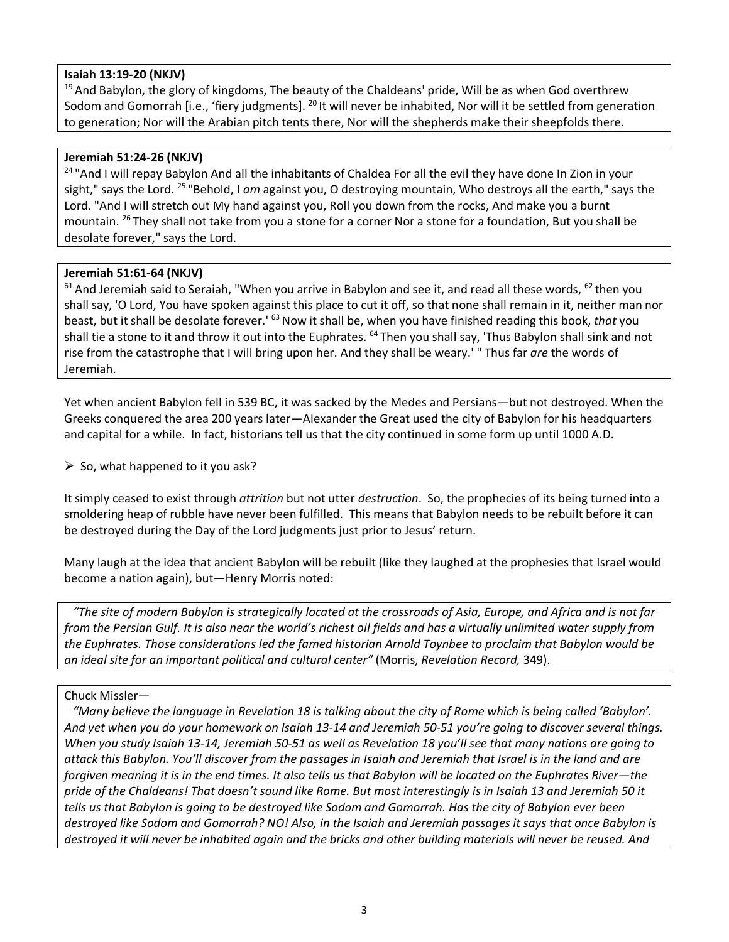## **Isaiah 13:19-20 (NKJV)**

 $19$  And Babylon, the glory of kingdoms, The beauty of the Chaldeans' pride, Will be as when God overthrew Sodom and Gomorrah [i.e., 'fiery judgments]. <sup>20</sup> It will never be inhabited, Nor will it be settled from generation to generation; Nor will the Arabian pitch tents there, Nor will the shepherds make their sheepfolds there.

## **Jeremiah 51:24-26 (NKJV)**

<sup>24</sup> "And I will repay Babylon And all the inhabitants of Chaldea For all the evil they have done In Zion in your sight," says the Lord. 25 "Behold, I *am* against you, O destroying mountain, Who destroys all the earth," says the Lord. "And I will stretch out My hand against you, Roll you down from the rocks, And make you a burnt mountain. 26 They shall not take from you a stone for a corner Nor a stone for a foundation, But you shall be desolate forever," says the Lord.

## **Jeremiah 51:61-64 (NKJV)**

 $61$  And Jeremiah said to Seraiah, "When you arrive in Babylon and see it, and read all these words,  $62$  then you shall say, 'O Lord, You have spoken against this place to cut it off, so that none shall remain in it, neither man nor beast, but it shall be desolate forever.' 63 Now it shall be, when you have finished reading this book, *that* you shall tie a stone to it and throw it out into the Euphrates. <sup>64</sup> Then you shall say, 'Thus Babylon shall sink and not rise from the catastrophe that I will bring upon her. And they shall be weary.' " Thus far *are* the words of Jeremiah.

Yet when ancient Babylon fell in 539 BC, it was sacked by the Medes and Persians—but not destroyed. When the Greeks conquered the area 200 years later—Alexander the Great used the city of Babylon for his headquarters and capital for a while. In fact, historians tell us that the city continued in some form up until 1000 A.D.

 $\triangleright$  So, what happened to it you ask?

It simply ceased to exist through *attrition* but not utter *destruction*. So, the prophecies of its being turned into a smoldering heap of rubble have never been fulfilled. This means that Babylon needs to be rebuilt before it can be destroyed during the Day of the Lord judgments just prior to Jesus' return.

Many laugh at the idea that ancient Babylon will be rebuilt (like they laughed at the prophesies that Israel would become a nation again), but—Henry Morris noted:

 *"The site of modern Babylon is strategically located at the crossroads of Asia, Europe, and Africa and is not far from the Persian Gulf. It is also near the world's richest oil fields and has a virtually unlimited water supply from the Euphrates. Those considerations led the famed historian Arnold Toynbee to proclaim that Babylon would be an ideal site for an important political and cultural center"* (Morris, *Revelation Record,* 349).

#### Chuck Missler—

 *"Many believe the language in Revelation 18 is talking about the city of Rome which is being called 'Babylon'. And yet when you do your homework on Isaiah 13-14 and Jeremiah 50-51 you're going to discover several things. When you study Isaiah 13-14, Jeremiah 50-51 as well as Revelation 18 you'll see that many nations are going to attack this Babylon. You'll discover from the passages in Isaiah and Jeremiah that Israel is in the land and are forgiven meaning it is in the end times. It also tells us that Babylon will be located on the Euphrates River—the pride of the Chaldeans! That doesn't sound like Rome. But most interestingly is in Isaiah 13 and Jeremiah 50 it tells us that Babylon is going to be destroyed like Sodom and Gomorrah. Has the city of Babylon ever been destroyed like Sodom and Gomorrah? NO! Also, in the Isaiah and Jeremiah passages it says that once Babylon is destroyed it will never be inhabited again and the bricks and other building materials will never be reused. And*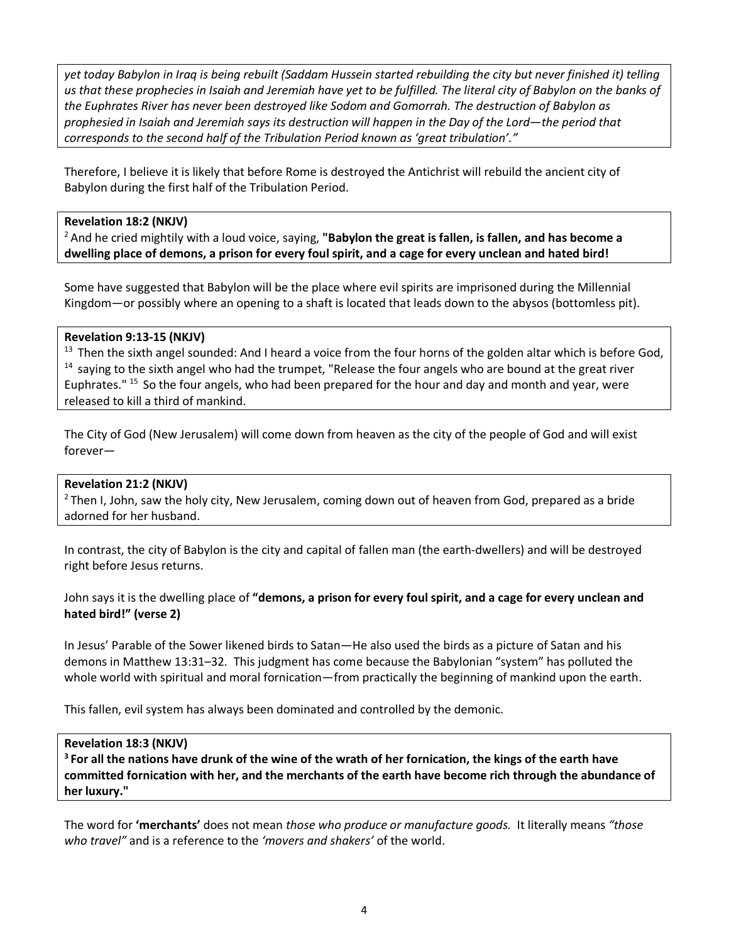*yet today Babylon in Iraq is being rebuilt (Saddam Hussein started rebuilding the city but never finished it) telling us that these prophecies in Isaiah and Jeremiah have yet to be fulfilled. The literal city of Babylon on the banks of the Euphrates River has never been destroyed like Sodom and Gomorrah. The destruction of Babylon as prophesied in Isaiah and Jeremiah says its destruction will happen in the Day of the Lord—the period that corresponds to the second half of the Tribulation Period known as 'great tribulation'."* 

Therefore, I believe it is likely that before Rome is destroyed the Antichrist will rebuild the ancient city of Babylon during the first half of the Tribulation Period.

## **Revelation 18:2 (NKJV)**

2 And he cried mightily with a loud voice, saying, **"Babylon the great is fallen, is fallen, and has become a dwelling place of demons, a prison for every foul spirit, and a cage for every unclean and hated bird!** 

Some have suggested that Babylon will be the place where evil spirits are imprisoned during the Millennial Kingdom—or possibly where an opening to a shaft is located that leads down to the abysos (bottomless pit).

## **Revelation 9:13-15 (NKJV)**

<sup>13</sup> Then the sixth angel sounded: And I heard a voice from the four horns of the golden altar which is before God,  $14$  saying to the sixth angel who had the trumpet, "Release the four angels who are bound at the great r Euphrates." 15 So the four angels, who had been prepared for the hour and day and month and year, were released to kill a third of mankind.

The City of God (New Jerusalem) will come down from heaven as the city of the people of God and will exist forever—

#### **Revelation 21:2 (NKJV)**

 $2$  Then I, John, saw the holy city, New Jerusalem, coming down out of heaven from God, prepared as a bride adorned for her husband.

In contrast, the city of Babylon is the city and capital of fallen man (the earth-dwellers) and will be destroyed right before Jesus returns.

## John says it is the dwelling place of **"demons, a prison for every foul spirit, and a cage for every unclean and hated bird!" (verse 2)**

In Jesus' Parable of the Sower likened birds to Satan—He also used the birds as a picture of Satan and his demons in Matthew 13:31–32. This judgment has come because the Babylonian "system" has polluted the whole world with spiritual and moral fornication—from practically the beginning of mankind upon the earth.

This fallen, evil system has always been dominated and controlled by the demonic.

#### **Revelation 18:3 (NKJV)**

**3 For all the nations have drunk of the wine of the wrath of her fornication, the kings of the earth have committed fornication with her, and the merchants of the earth have become rich through the abundance of her luxury."** 

The word for **'merchants'** does not mean *those who produce or manufacture goods.* It literally means *"those who travel"* and is a reference to the *'movers and shakers'* of the world.